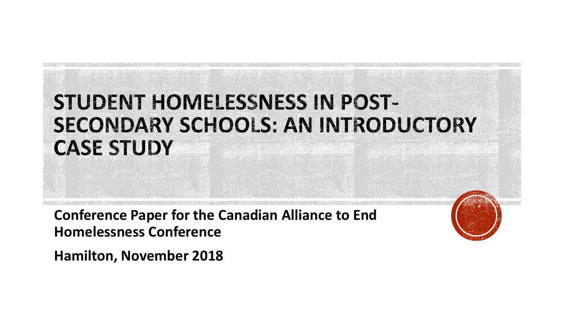#### STUDENT HOMELESSNESS IN POST-**SECONDARY SCHOOLS: AN INTRODUCTORY CASE STUDY**

**Conference Paper for the Canadian Alliance to End Homelessness Conference**

**Hamilton, November 2018**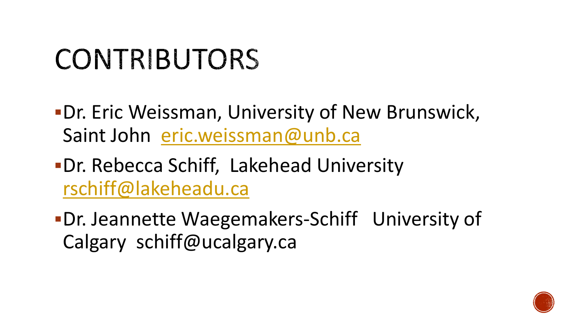# CONTRIBUTORS

- **-Dr. Eric Weissman, University of New Brunswick,** Saint John [eric.weissman@unb.ca](mailto:eric.weissman@unb.ca)
- ▪Dr. Rebecca Schiff, Lakehead University [rschiff@lakeheadu.ca](mailto:rschiff@lakeheadu.ca)
- ▪Dr. Jeannette Waegemakers-Schiff University of Calgary schiff@ucalgary.ca

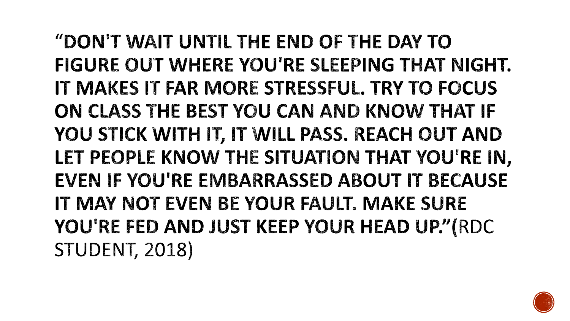"DON'T WAIT UNTIL THE END OF THE DAY TO FIGURE OUT WHERE YOU'RE SLEEPING THAT NIGHT. IT MAKES IT FAR MORE STRESSFUL. TRY TO FOCUS ON CLASS THE BEST YOU CAN AND KNOW THAT IF YOU STICK WITH IT, IT WILL PASS. REACH OUT AND LET PEOPLE KNOW THE SITUATION THAT YOU'RE IN, EVEN IF YOU'RE EMBARRASSED ABOUT IT BECAUSE IT MAY NOT EVEN BE YOUR FAULT. MAKE SURE YOU'RE FED AND JUST KEEP YOUR HEAD UP."(RDC **STUDENT, 2018)** 

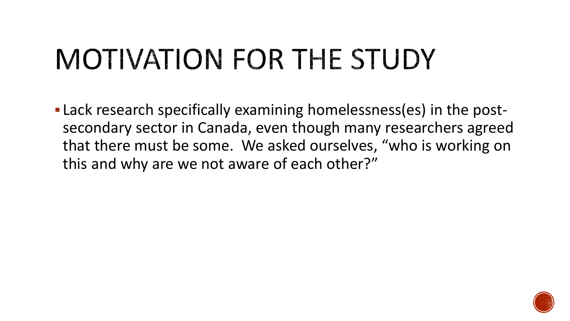# MOTIVATION FOR THE STUDY

**-Lack research specifically examining homelessness(es) in the post**secondary sector in Canada, even though many researchers agreed that there must be some. We asked ourselves, "who is working on this and why are we not aware of each other?"

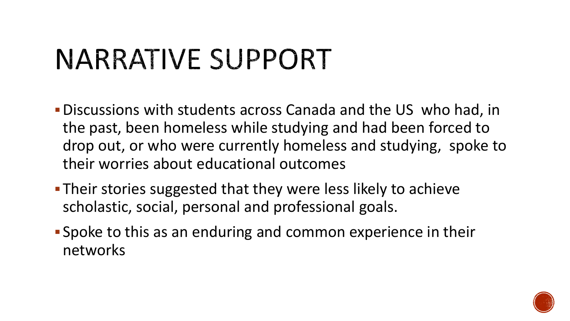# NARRATIVE SUPPORT

- ▪Discussions with students across Canada and the US who had, in the past, been homeless while studying and had been forced to drop out, or who were currently homeless and studying, spoke to their worries about educational outcomes
- **Their stories suggested that they were less likely to achieve** scholastic, social, personal and professional goals.
- **Spoke to this as an enduring and common experience in their** networks

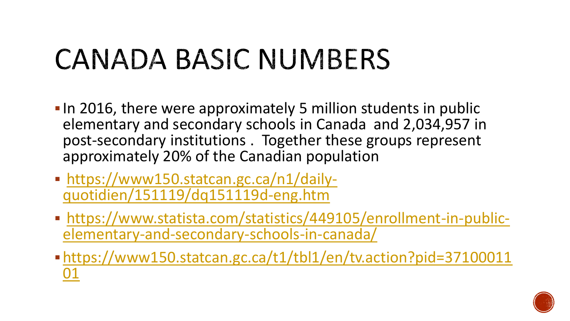# CANADA BASIC NUMBERS

- **.** In 2016, there were approximately 5 million students in public elementary and secondary schools in Canada and 2,034,957 in post-secondary institutions . Together these groups represent approximately 20% of the Canadian population
- [https://www150.statcan.gc.ca/n1/daily](https://www150.statcan.gc.ca/n1/daily-quotidien/151119/dq151119d-eng.htm)quotidien/151119/dq151119d-eng.htm
- [https://www.statista.com/statistics/449105/enrollment-in-public](https://www.statista.com/statistics/449105/enrollment-in-public-elementary-and-secondary-schools-in-canada/)elementary-and-secondary-schools-in-canada/
- ▪[https://www150.statcan.gc.ca/t1/tbl1/en/tv.action?pid=37100011](https://www150.statcan.gc.ca/t1/tbl1/en/tv.action?pid=3710001101) 01

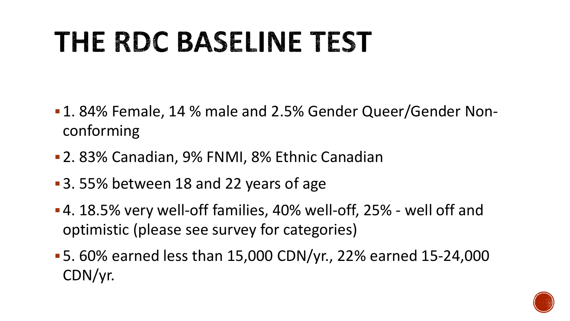# THE RDC BASELINE TEST

- 1.84% Female, 14 % male and 2.5% Gender Queer/Gender Nonconforming
- **2. 83% Canadian, 9% FNMI, 8% Ethnic Canadian**
- 3.55% between 18 and 22 years of age
- **-4. 18.5% very well-off families, 40% well-off, 25% well off and** optimistic (please see survey for categories)
- ▪5. 60% earned less than 15,000 CDN/yr., 22% earned 15-24,000 CDN/yr.

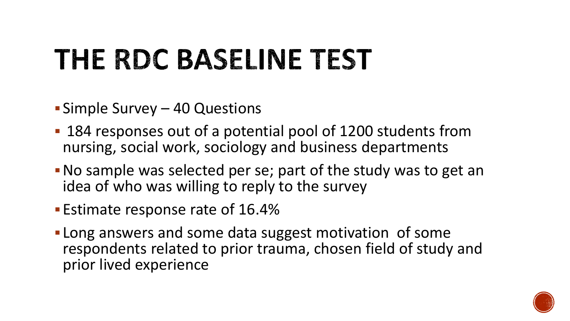# THE RDC BASELINE TEST

- **Simple Survey 40 Questions**
- 184 responses out of a potential pool of 1200 students from nursing, social work, sociology and business departments
- ▪No sample was selected per se; part of the study was to get an idea of who was willing to reply to the survey
- **Estimate response rate of 16.4%**
- **. Long answers and some data suggest motivation of some** respondents related to prior trauma, chosen field of study and prior lived experience

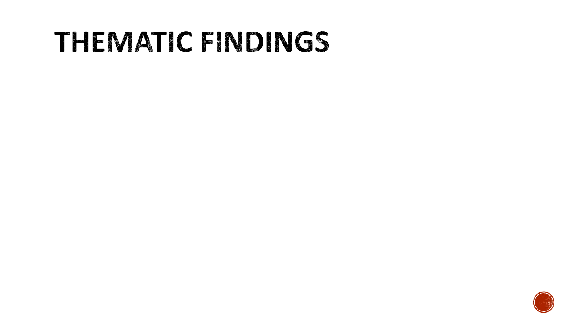#### THEMATIC FINDINGS

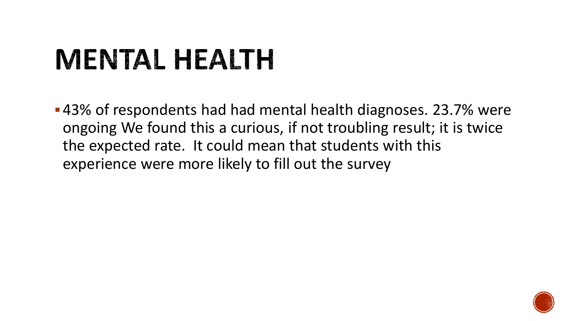# MENTAL HEALTH

■43% of respondents had had mental health diagnoses. 23.7% were ongoing We found this a curious, if not troubling result; it is twice the expected rate. It could mean that students with this experience were more likely to fill out the survey

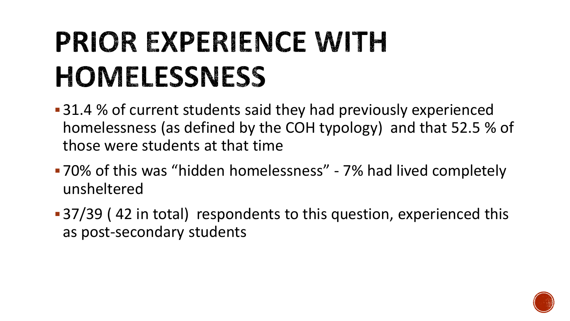# **PRIOR EXPERIENCE WITH HOMELESSNESS**

- 31.4 % of current students said they had previously experienced homelessness (as defined by the COH typology) and that 52.5 % of those were students at that time
- 70% of this was "hidden homelessness" 7% had lived completely unsheltered
- 37/39 (42 in total) respondents to this question, experienced this as post-secondary students

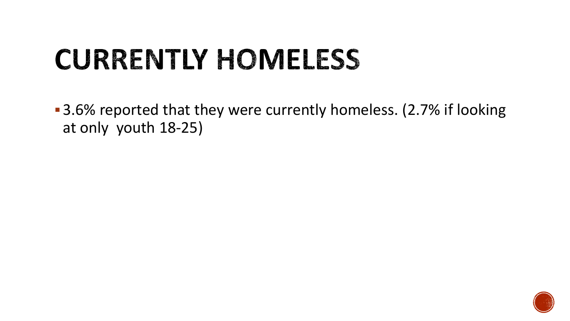### **CURRENTLY HOMELESS**

■ 3.6% reported that they were currently homeless. (2.7% if looking at only youth 18-25)

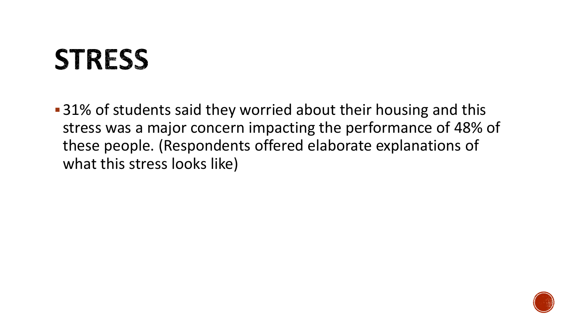#### **STRESS**

■ 31% of students said they worried about their housing and this stress was a major concern impacting the performance of 48% of these people. (Respondents offered elaborate explanations of what this stress looks like)

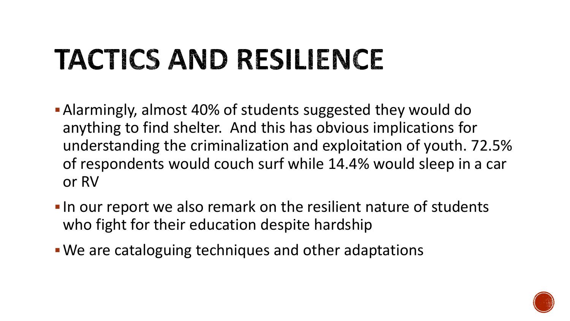# TACTICS AND RESILIENCE

- **-** Alarmingly, almost 40% of students suggested they would do anything to find shelter. And this has obvious implications for understanding the criminalization and exploitation of youth. 72.5% of respondents would couch surf while 14.4% would sleep in a car or RV
- **.** In our report we also remark on the resilient nature of students who fight for their education despite hardship
- **We are cataloguing techniques and other adaptations**

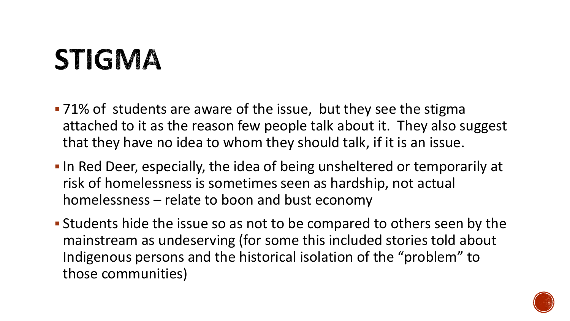## **STIGMA**

- 71% of students are aware of the issue, but they see the stigma attached to it as the reason few people talk about it. They also suggest that they have no idea to whom they should talk, if it is an issue.
- **.** In Red Deer, especially, the idea of being unsheltered or temporarily at risk of homelessness is sometimes seen as hardship, not actual homelessness – relate to boon and bust economy
- **Example 1** Students hide the issue so as not to be compared to others seen by the mainstream as undeserving (for some this included stories told about Indigenous persons and the historical isolation of the "problem" to those communities)

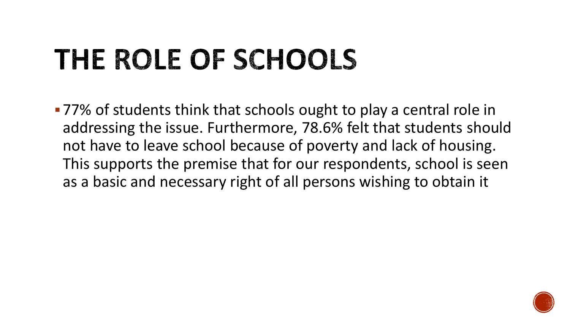# THE ROLE OF SCHOOLS

■77% of students think that schools ought to play a central role in addressing the issue. Furthermore, 78.6% felt that students should not have to leave school because of poverty and lack of housing. This supports the premise that for our respondents, school is seen as a basic and necessary right of all persons wishing to obtain it

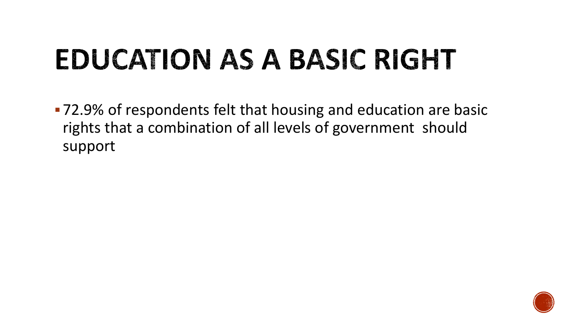# EDUCATION AS A BASIC RIGHT

■ 72.9% of respondents felt that housing and education are basic rights that a combination of all levels of government should support

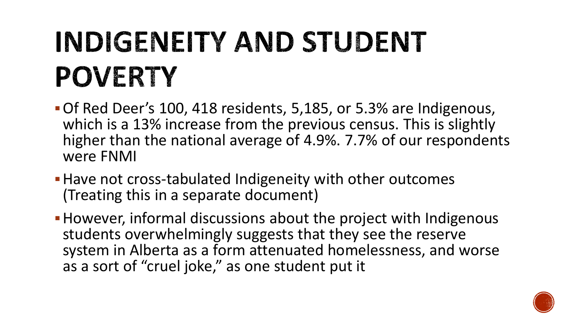# INDIGENEITY AND STUDENT **POVERTY**

- Of Red Deer's 100, 418 residents, 5,185, or 5.3% are Indigenous, which is a 13% increase from the previous census. This is slightly higher than the national average of 4.9%. 7.7% of our respondents were FNMI
- **Have not cross-tabulated Indigeneity with other outcomes** (Treating this in a separate document)
- **However, informal discussions about the project with Indigenous** students overwhelmingly suggests that they see the reserve system in Alberta as a form attenuated homelessness, and worse as a sort of "cruel joke," as one student put it

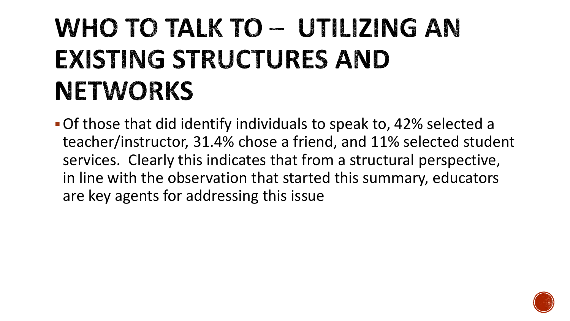### WHO TO TALK TO - UTILIZING AN **EXISTING STRUCTURES AND NETWORKS**

▪Of those that did identify individuals to speak to, 42% selected a teacher/instructor, 31.4% chose a friend, and 11% selected student services. Clearly this indicates that from a structural perspective, in line with the observation that started this summary, educators are key agents for addressing this issue

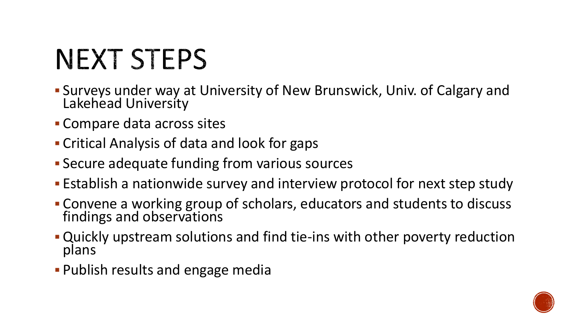# **NEXT STEPS**

- **E** Surveys under way at University of New Brunswick, Univ. of Calgary and Lakehead University
- **Compare data across sites**
- **Critical Analysis of data and look for gaps**
- **E** Secure adequate funding from various sources
- **Establish a nationwide survey and interview protocol for next step study**
- **EX Convene a working group of scholars, educators and students to discuss** findings and observations
- **.** Quickly upstream solutions and find tie-ins with other poverty reduction plans
- **Publish results and engage media**

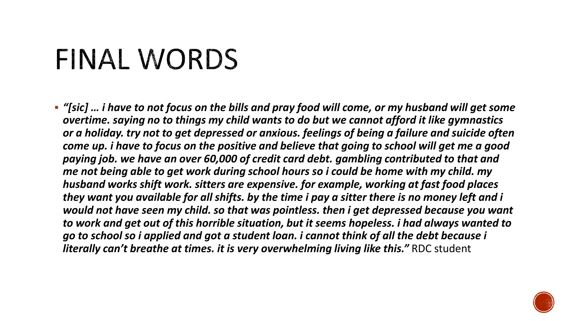# FINAL WORDS

▪ *"[sic] … i have to not focus on the bills and pray food will come, or my husband will get some overtime. saying no to things my child wants to do but we cannot afford it like gymnastics or a holiday. try not to get depressed or anxious. feelings of being a failure and suicide often come up. i have to focus on the positive and believe that going to school will get me a good paying job. we have an over 60,000 of credit card debt. gambling contributed to that and me not being able to get work during school hours so i could be home with my child. my husband works shift work. sitters are expensive. for example, working at fast food places they want you available for all shifts. by the time i pay a sitter there is no money left and i would not have seen my child. so that was pointless. then i get depressed because you want to work and get out of this horrible situation, but it seems hopeless. i had always wanted to go to school so i applied and got a student loan. i cannot think of all the debt because i literally can't breathe at times. it is very overwhelming living like this."* RDC student